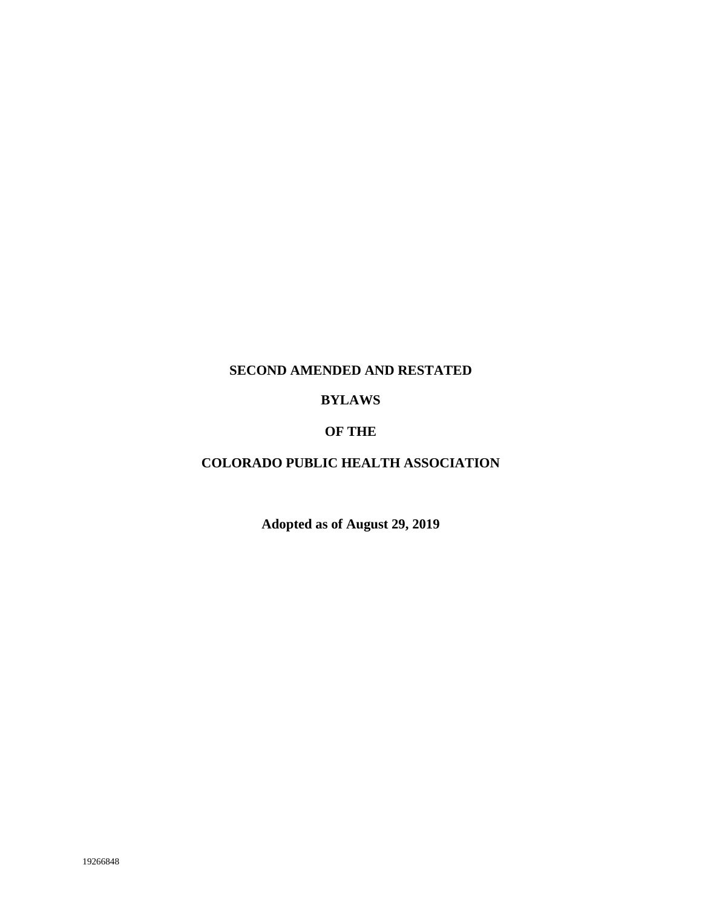# **SECOND AMENDED AND RESTATED**

# **BYLAWS**

# **OF THE**

# **COLORADO PUBLIC HEALTH ASSOCIATION**

**Adopted as of August 29, 2019**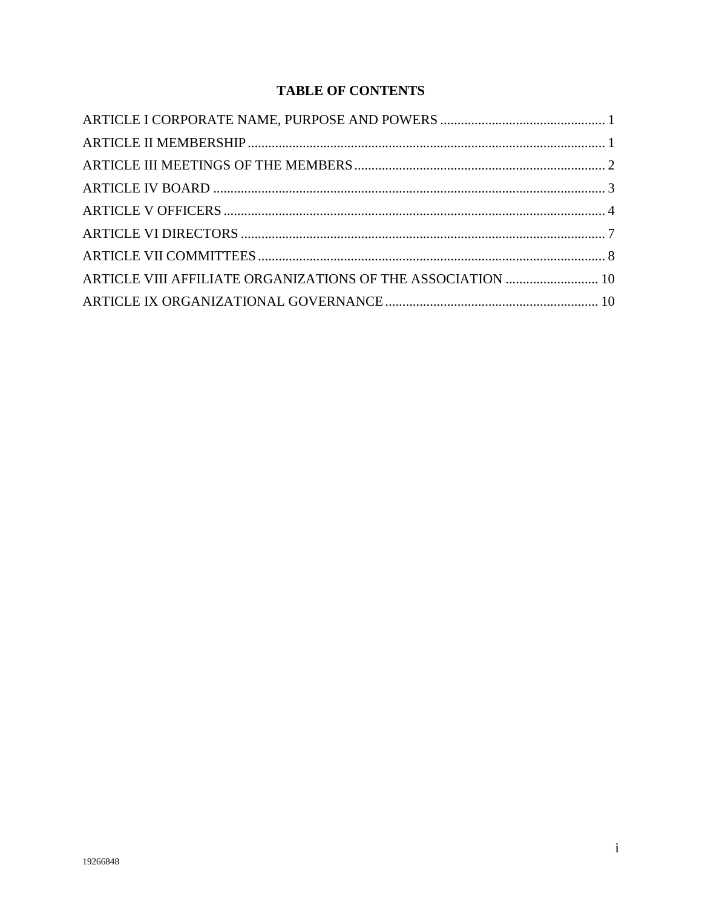# **TABLE OF CONTENTS**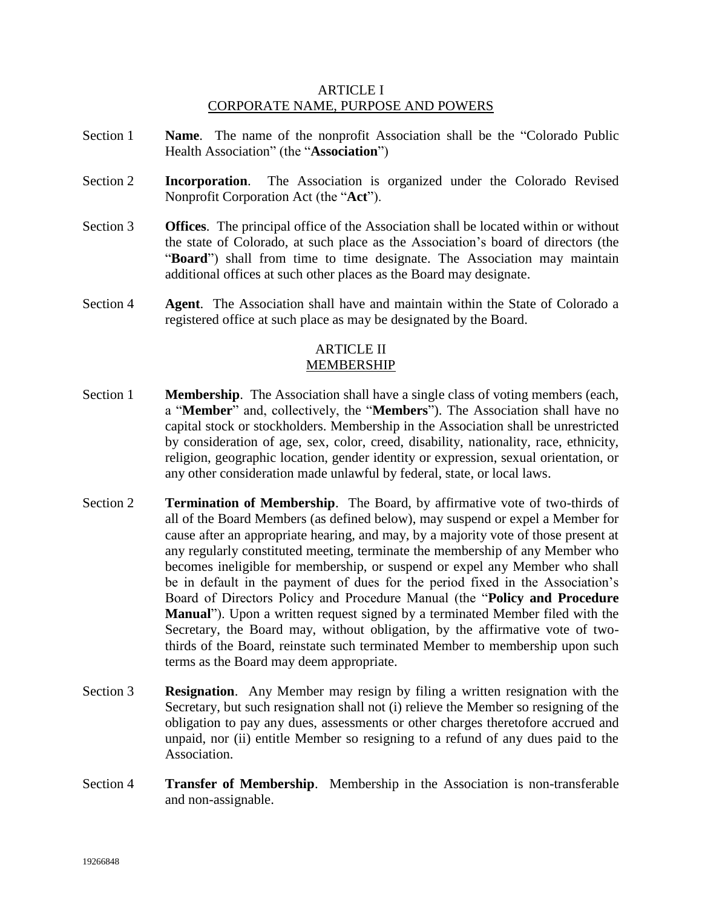## ARTICLE I CORPORATE NAME, PURPOSE AND POWERS

- Section 1 **Name**. The name of the nonprofit Association shall be the "Colorado Public Health Association" (the "**Association**")
- Section 2 **Incorporation**. The Association is organized under the Colorado Revised Nonprofit Corporation Act (the "**Act**").
- Section 3 **Offices**. The principal office of the Association shall be located within or without the state of Colorado, at such place as the Association's board of directors (the "Board") shall from time to time designate. The Association may maintain additional offices at such other places as the Board may designate.
- Section 4 **Agent**. The Association shall have and maintain within the State of Colorado a registered office at such place as may be designated by the Board.

#### ARTICLE II MEMBERSHIP

- Section 1 **Membership**. The Association shall have a single class of voting members (each, a "**Member**" and, collectively, the "**Members**"). The Association shall have no capital stock or stockholders. Membership in the Association shall be unrestricted by consideration of age, sex, color, creed, disability, nationality, race, ethnicity, religion, geographic location, gender identity or expression, sexual orientation, or any other consideration made unlawful by federal, state, or local laws.
- Section 2 **Termination of Membership**. The Board, by affirmative vote of two-thirds of all of the Board Members (as defined below), may suspend or expel a Member for cause after an appropriate hearing, and may, by a majority vote of those present at any regularly constituted meeting, terminate the membership of any Member who becomes ineligible for membership, or suspend or expel any Member who shall be in default in the payment of dues for the period fixed in the Association's Board of Directors Policy and Procedure Manual (the "**Policy and Procedure Manual**"). Upon a written request signed by a terminated Member filed with the Secretary, the Board may, without obligation, by the affirmative vote of twothirds of the Board, reinstate such terminated Member to membership upon such terms as the Board may deem appropriate.
- Section 3 **Resignation**. Any Member may resign by filing a written resignation with the Secretary, but such resignation shall not (i) relieve the Member so resigning of the obligation to pay any dues, assessments or other charges theretofore accrued and unpaid, nor (ii) entitle Member so resigning to a refund of any dues paid to the Association.
- Section 4 **Transfer of Membership**. Membership in the Association is non-transferable and non-assignable.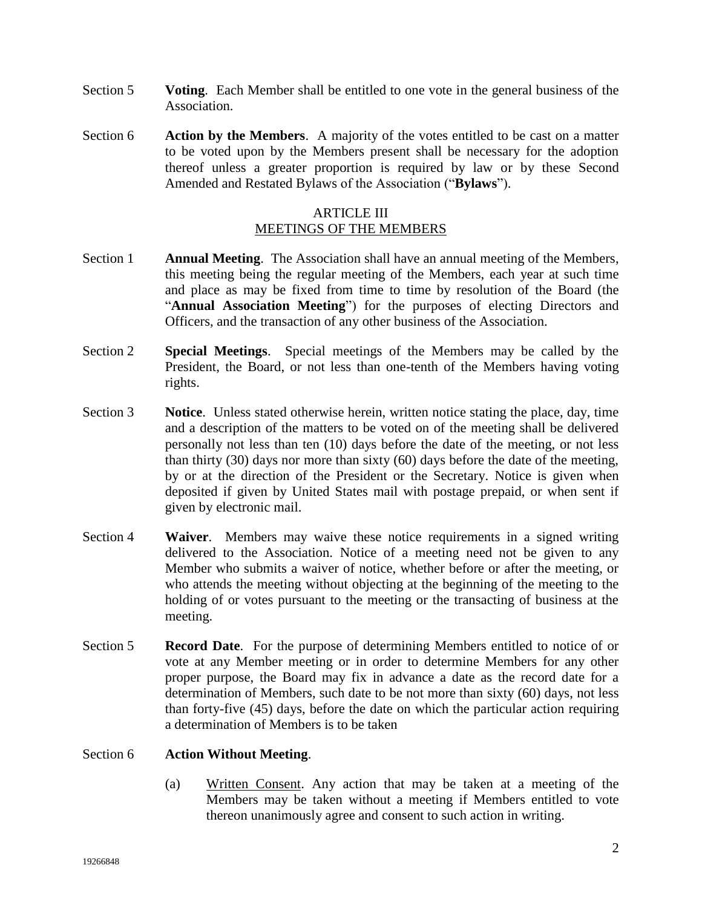- Section 5 **Voting**. Each Member shall be entitled to one vote in the general business of the Association.
- Section 6 **Action by the Members**. A majority of the votes entitled to be cast on a matter to be voted upon by the Members present shall be necessary for the adoption thereof unless a greater proportion is required by law or by these Second Amended and Restated Bylaws of the Association ("**Bylaws**").

#### ARTICLE III MEETINGS OF THE MEMBERS

- Section 1 **Annual Meeting**. The Association shall have an annual meeting of the Members, this meeting being the regular meeting of the Members, each year at such time and place as may be fixed from time to time by resolution of the Board (the "**Annual Association Meeting**") for the purposes of electing Directors and Officers, and the transaction of any other business of the Association.
- Section 2 **Special Meetings**. Special meetings of the Members may be called by the President, the Board, or not less than one-tenth of the Members having voting rights.
- Section 3 **Notice**. Unless stated otherwise herein, written notice stating the place, day, time and a description of the matters to be voted on of the meeting shall be delivered personally not less than ten (10) days before the date of the meeting, or not less than thirty (30) days nor more than sixty (60) days before the date of the meeting, by or at the direction of the President or the Secretary. Notice is given when deposited if given by United States mail with postage prepaid, or when sent if given by electronic mail.
- Section 4 **Waiver**. Members may waive these notice requirements in a signed writing delivered to the Association. Notice of a meeting need not be given to any Member who submits a waiver of notice, whether before or after the meeting, or who attends the meeting without objecting at the beginning of the meeting to the holding of or votes pursuant to the meeting or the transacting of business at the meeting.
- Section 5 **Record Date**. For the purpose of determining Members entitled to notice of or vote at any Member meeting or in order to determine Members for any other proper purpose, the Board may fix in advance a date as the record date for a determination of Members, such date to be not more than sixty (60) days, not less than forty-five (45) days, before the date on which the particular action requiring a determination of Members is to be taken

## Section 6 **Action Without Meeting**.

(a) Written Consent. Any action that may be taken at a meeting of the Members may be taken without a meeting if Members entitled to vote thereon unanimously agree and consent to such action in writing.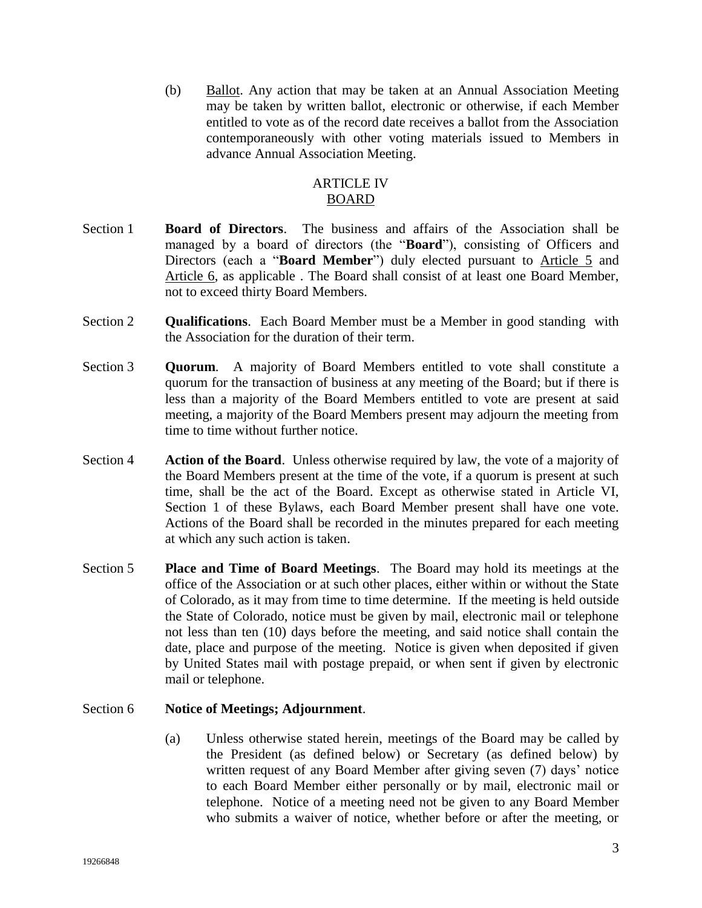(b) Ballot. Any action that may be taken at an Annual Association Meeting may be taken by written ballot, electronic or otherwise, if each Member entitled to vote as of the record date receives a ballot from the Association contemporaneously with other voting materials issued to Members in advance Annual Association Meeting.

# ARTICLE IV BOARD

- Section 1 **Board of Directors**. The business and affairs of the Association shall be managed by a board of directors (the "**Board**"), consisting of Officers and Directors (each a "**Board Member**") duly elected pursuant to Article 5 and Article 6, as applicable . The Board shall consist of at least one Board Member, not to exceed thirty Board Members.
- Section 2 **Qualifications**. Each Board Member must be a Member in good standing with the Association for the duration of their term.
- Section 3 **Quorum**. A majority of Board Members entitled to vote shall constitute a quorum for the transaction of business at any meeting of the Board; but if there is less than a majority of the Board Members entitled to vote are present at said meeting, a majority of the Board Members present may adjourn the meeting from time to time without further notice.
- Section 4 **Action of the Board**. Unless otherwise required by law, the vote of a majority of the Board Members present at the time of the vote, if a quorum is present at such time, shall be the act of the Board. Except as otherwise stated in Article VI, Section 1 of these Bylaws, each Board Member present shall have one vote. Actions of the Board shall be recorded in the minutes prepared for each meeting at which any such action is taken.
- Section 5 **Place and Time of Board Meetings**. The Board may hold its meetings at the office of the Association or at such other places, either within or without the State of Colorado, as it may from time to time determine. If the meeting is held outside the State of Colorado, notice must be given by mail, electronic mail or telephone not less than ten (10) days before the meeting, and said notice shall contain the date, place and purpose of the meeting. Notice is given when deposited if given by United States mail with postage prepaid, or when sent if given by electronic mail or telephone.

## Section 6 **Notice of Meetings; Adjournment**.

(a) Unless otherwise stated herein, meetings of the Board may be called by the President (as defined below) or Secretary (as defined below) by written request of any Board Member after giving seven (7) days' notice to each Board Member either personally or by mail, electronic mail or telephone. Notice of a meeting need not be given to any Board Member who submits a waiver of notice, whether before or after the meeting, or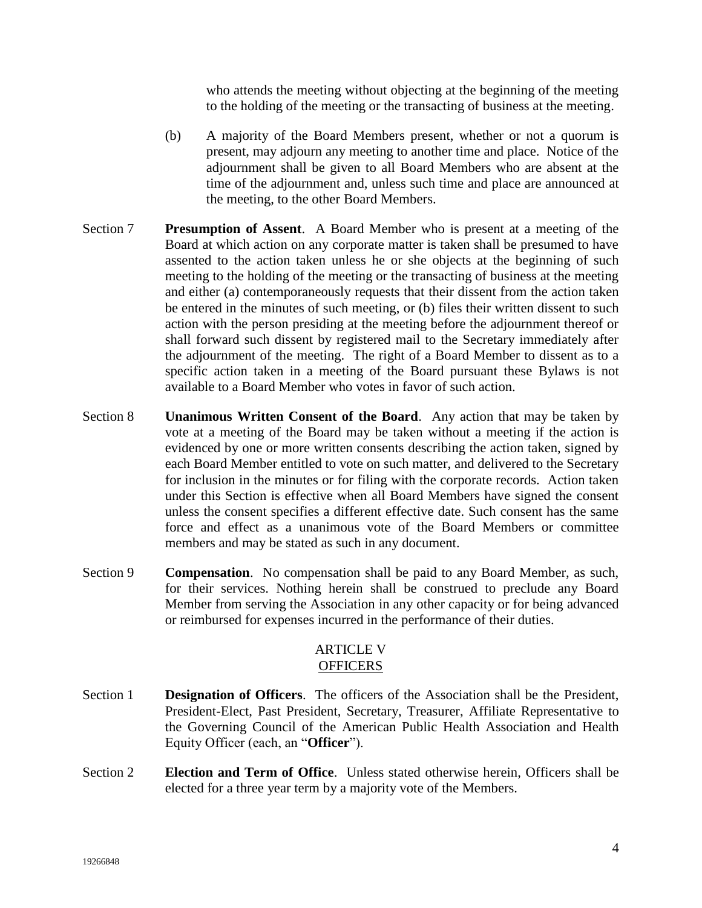who attends the meeting without objecting at the beginning of the meeting to the holding of the meeting or the transacting of business at the meeting.

- (b) A majority of the Board Members present, whether or not a quorum is present, may adjourn any meeting to another time and place. Notice of the adjournment shall be given to all Board Members who are absent at the time of the adjournment and, unless such time and place are announced at the meeting, to the other Board Members.
- Section 7 **Presumption of Assent**. A Board Member who is present at a meeting of the Board at which action on any corporate matter is taken shall be presumed to have assented to the action taken unless he or she objects at the beginning of such meeting to the holding of the meeting or the transacting of business at the meeting and either (a) contemporaneously requests that their dissent from the action taken be entered in the minutes of such meeting, or (b) files their written dissent to such action with the person presiding at the meeting before the adjournment thereof or shall forward such dissent by registered mail to the Secretary immediately after the adjournment of the meeting. The right of a Board Member to dissent as to a specific action taken in a meeting of the Board pursuant these Bylaws is not available to a Board Member who votes in favor of such action.
- Section 8 **Unanimous Written Consent of the Board**. Any action that may be taken by vote at a meeting of the Board may be taken without a meeting if the action is evidenced by one or more written consents describing the action taken, signed by each Board Member entitled to vote on such matter, and delivered to the Secretary for inclusion in the minutes or for filing with the corporate records. Action taken under this Section is effective when all Board Members have signed the consent unless the consent specifies a different effective date. Such consent has the same force and effect as a unanimous vote of the Board Members or committee members and may be stated as such in any document.
- Section 9 **Compensation**. No compensation shall be paid to any Board Member, as such, for their services. Nothing herein shall be construed to preclude any Board Member from serving the Association in any other capacity or for being advanced or reimbursed for expenses incurred in the performance of their duties.

# ARTICLE V **OFFICERS**

- Section 1 **Designation of Officers**. The officers of the Association shall be the President, President-Elect, Past President, Secretary, Treasurer, Affiliate Representative to the Governing Council of the American Public Health Association and Health Equity Officer (each, an "**Officer**").
- Section 2 **Election and Term of Office**. Unless stated otherwise herein, Officers shall be elected for a three year term by a majority vote of the Members.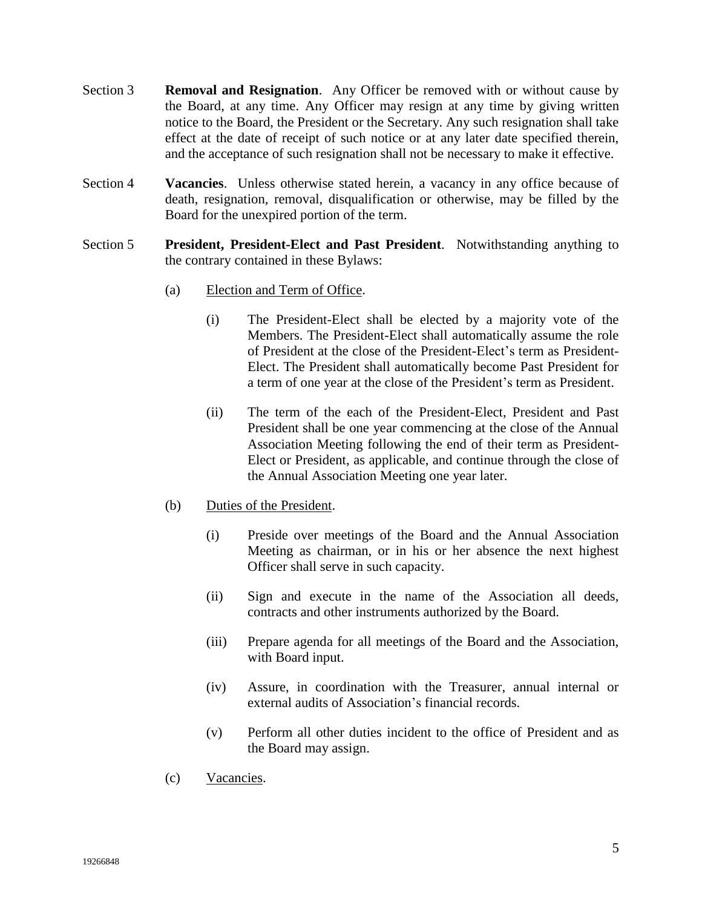- Section 3 **Removal and Resignation**. Any Officer be removed with or without cause by the Board, at any time. Any Officer may resign at any time by giving written notice to the Board, the President or the Secretary. Any such resignation shall take effect at the date of receipt of such notice or at any later date specified therein, and the acceptance of such resignation shall not be necessary to make it effective.
- Section 4 **Vacancies**. Unless otherwise stated herein, a vacancy in any office because of death, resignation, removal, disqualification or otherwise, may be filled by the Board for the unexpired portion of the term.
- Section 5 **President, President-Elect and Past President**. Notwithstanding anything to the contrary contained in these Bylaws:
	- (a) Election and Term of Office.
		- (i) The President-Elect shall be elected by a majority vote of the Members. The President-Elect shall automatically assume the role of President at the close of the President-Elect's term as President-Elect. The President shall automatically become Past President for a term of one year at the close of the President's term as President.
		- (ii) The term of the each of the President-Elect, President and Past President shall be one year commencing at the close of the Annual Association Meeting following the end of their term as President-Elect or President, as applicable, and continue through the close of the Annual Association Meeting one year later.
	- (b) Duties of the President.
		- (i) Preside over meetings of the Board and the Annual Association Meeting as chairman, or in his or her absence the next highest Officer shall serve in such capacity.
		- (ii) Sign and execute in the name of the Association all deeds, contracts and other instruments authorized by the Board.
		- (iii) Prepare agenda for all meetings of the Board and the Association, with Board input.
		- (iv) Assure, in coordination with the Treasurer, annual internal or external audits of Association's financial records.
		- (v) Perform all other duties incident to the office of President and as the Board may assign.
	- (c) Vacancies.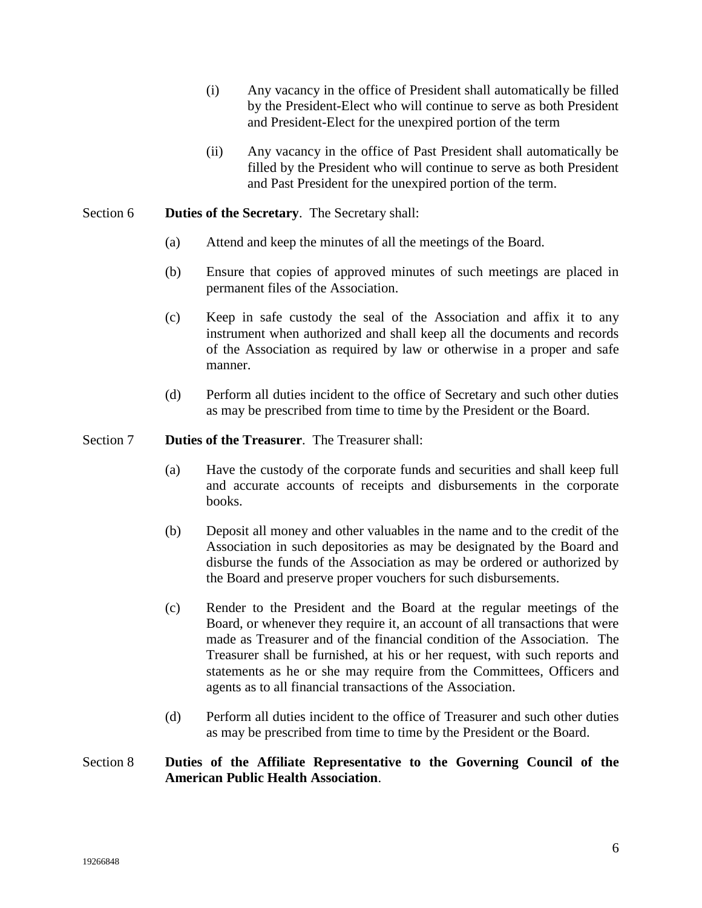- (i) Any vacancy in the office of President shall automatically be filled by the President-Elect who will continue to serve as both President and President-Elect for the unexpired portion of the term
- (ii) Any vacancy in the office of Past President shall automatically be filled by the President who will continue to serve as both President and Past President for the unexpired portion of the term.

#### Section 6 **Duties of the Secretary**. The Secretary shall:

- (a) Attend and keep the minutes of all the meetings of the Board.
- (b) Ensure that copies of approved minutes of such meetings are placed in permanent files of the Association.
- (c) Keep in safe custody the seal of the Association and affix it to any instrument when authorized and shall keep all the documents and records of the Association as required by law or otherwise in a proper and safe manner.
- (d) Perform all duties incident to the office of Secretary and such other duties as may be prescribed from time to time by the President or the Board.

#### Section 7 **Duties of the Treasurer**. The Treasurer shall:

- (a) Have the custody of the corporate funds and securities and shall keep full and accurate accounts of receipts and disbursements in the corporate books.
- (b) Deposit all money and other valuables in the name and to the credit of the Association in such depositories as may be designated by the Board and disburse the funds of the Association as may be ordered or authorized by the Board and preserve proper vouchers for such disbursements.
- (c) Render to the President and the Board at the regular meetings of the Board, or whenever they require it, an account of all transactions that were made as Treasurer and of the financial condition of the Association. The Treasurer shall be furnished, at his or her request, with such reports and statements as he or she may require from the Committees, Officers and agents as to all financial transactions of the Association.
- (d) Perform all duties incident to the office of Treasurer and such other duties as may be prescribed from time to time by the President or the Board.

#### Section 8 **Duties of the Affiliate Representative to the Governing Council of the American Public Health Association**.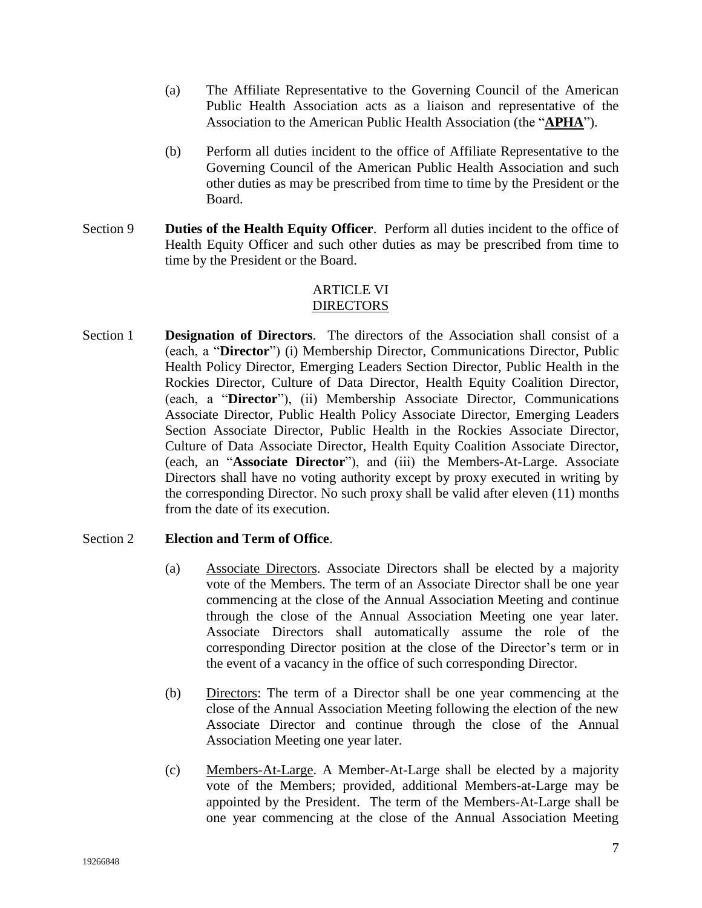- (a) The Affiliate Representative to the Governing Council of the American Public Health Association acts as a liaison and representative of the Association to the American Public Health Association (the "**APHA**").
- (b) Perform all duties incident to the office of Affiliate Representative to the Governing Council of the American Public Health Association and such other duties as may be prescribed from time to time by the President or the Board.
- Section 9 **Duties of the Health Equity Officer**. Perform all duties incident to the office of Health Equity Officer and such other duties as may be prescribed from time to time by the President or the Board.

# ARTICLE VI DIRECTORS

Section 1 **Designation of Directors**. The directors of the Association shall consist of a (each, a "**Director**") (i) Membership Director, Communications Director, Public Health Policy Director, Emerging Leaders Section Director, Public Health in the Rockies Director, Culture of Data Director, Health Equity Coalition Director, (each, a "**Director**"), (ii) Membership Associate Director, Communications Associate Director, Public Health Policy Associate Director, Emerging Leaders Section Associate Director, Public Health in the Rockies Associate Director, Culture of Data Associate Director, Health Equity Coalition Associate Director, (each, an "**Associate Director**"), and (iii) the Members-At-Large. Associate Directors shall have no voting authority except by proxy executed in writing by the corresponding Director. No such proxy shall be valid after eleven (11) months from the date of its execution.

# Section 2 **Election and Term of Office**.

- (a) Associate Directors. Associate Directors shall be elected by a majority vote of the Members. The term of an Associate Director shall be one year commencing at the close of the Annual Association Meeting and continue through the close of the Annual Association Meeting one year later. Associate Directors shall automatically assume the role of the corresponding Director position at the close of the Director's term or in the event of a vacancy in the office of such corresponding Director.
- (b) Directors: The term of a Director shall be one year commencing at the close of the Annual Association Meeting following the election of the new Associate Director and continue through the close of the Annual Association Meeting one year later.
- (c) Members-At-Large. A Member-At-Large shall be elected by a majority vote of the Members; provided, additional Members-at-Large may be appointed by the President. The term of the Members-At-Large shall be one year commencing at the close of the Annual Association Meeting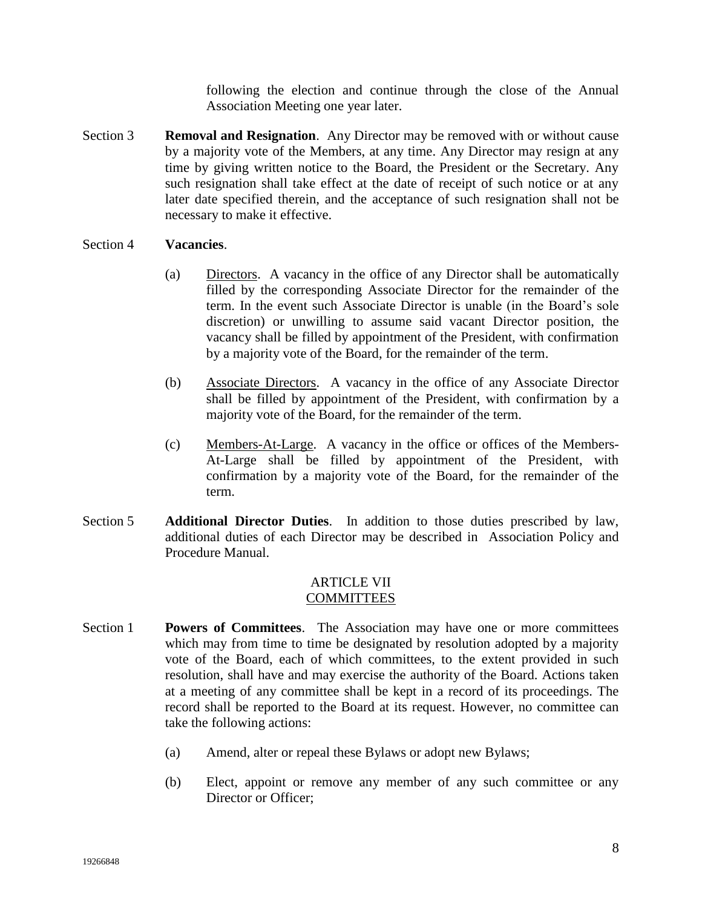following the election and continue through the close of the Annual Association Meeting one year later.

Section 3 **Removal and Resignation**. Any Director may be removed with or without cause by a majority vote of the Members, at any time. Any Director may resign at any time by giving written notice to the Board, the President or the Secretary. Any such resignation shall take effect at the date of receipt of such notice or at any later date specified therein, and the acceptance of such resignation shall not be necessary to make it effective.

#### Section 4 **Vacancies**.

- (a) Directors. A vacancy in the office of any Director shall be automatically filled by the corresponding Associate Director for the remainder of the term. In the event such Associate Director is unable (in the Board's sole discretion) or unwilling to assume said vacant Director position, the vacancy shall be filled by appointment of the President, with confirmation by a majority vote of the Board, for the remainder of the term.
- (b) Associate Directors. A vacancy in the office of any Associate Director shall be filled by appointment of the President, with confirmation by a majority vote of the Board, for the remainder of the term.
- (c) Members-At-Large. A vacancy in the office or offices of the Members-At-Large shall be filled by appointment of the President, with confirmation by a majority vote of the Board, for the remainder of the term.
- Section 5 **Additional Director Duties**. In addition to those duties prescribed by law, additional duties of each Director may be described in Association Policy and Procedure Manual.

## ARTICLE VII **COMMITTEES**

- Section 1 **Powers of Committees**. The Association may have one or more committees which may from time to time be designated by resolution adopted by a majority vote of the Board, each of which committees, to the extent provided in such resolution, shall have and may exercise the authority of the Board. Actions taken at a meeting of any committee shall be kept in a record of its proceedings. The record shall be reported to the Board at its request. However, no committee can take the following actions:
	- (a) Amend, alter or repeal these Bylaws or adopt new Bylaws;
	- (b) Elect, appoint or remove any member of any such committee or any Director or Officer;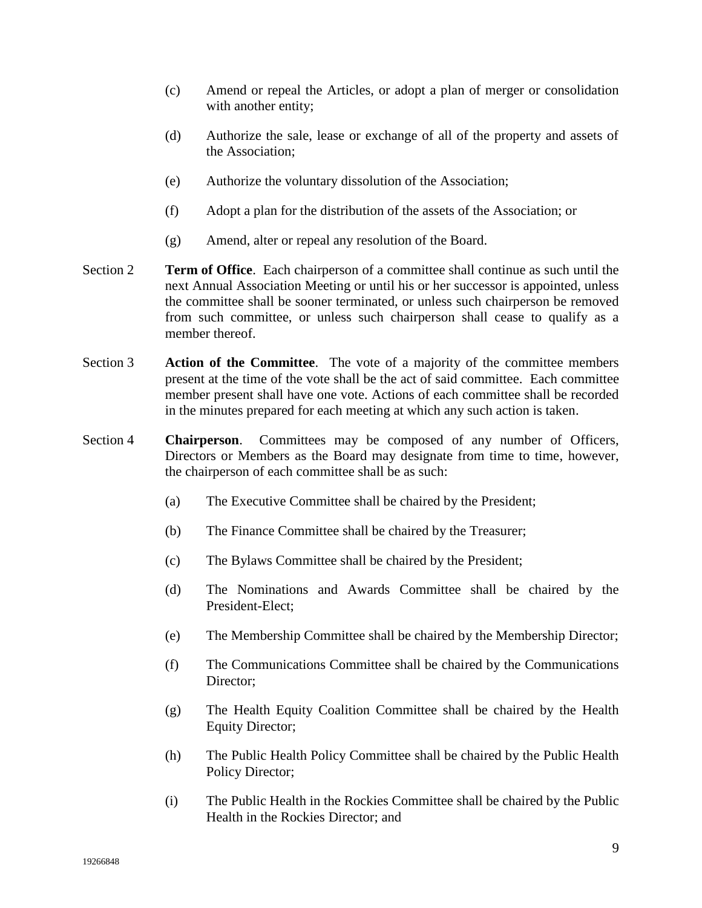- (c) Amend or repeal the Articles, or adopt a plan of merger or consolidation with another entity;
- (d) Authorize the sale, lease or exchange of all of the property and assets of the Association;
- (e) Authorize the voluntary dissolution of the Association;
- (f) Adopt a plan for the distribution of the assets of the Association; or
- (g) Amend, alter or repeal any resolution of the Board.
- Section 2 **Term of Office**. Each chairperson of a committee shall continue as such until the next Annual Association Meeting or until his or her successor is appointed, unless the committee shall be sooner terminated, or unless such chairperson be removed from such committee, or unless such chairperson shall cease to qualify as a member thereof.
- Section 3 **Action of the Committee**. The vote of a majority of the committee members present at the time of the vote shall be the act of said committee. Each committee member present shall have one vote. Actions of each committee shall be recorded in the minutes prepared for each meeting at which any such action is taken.
- Section 4 **Chairperson**. Committees may be composed of any number of Officers, Directors or Members as the Board may designate from time to time, however, the chairperson of each committee shall be as such:
	- (a) The Executive Committee shall be chaired by the President;
	- (b) The Finance Committee shall be chaired by the Treasurer;
	- (c) The Bylaws Committee shall be chaired by the President;
	- (d) The Nominations and Awards Committee shall be chaired by the President-Elect;
	- (e) The Membership Committee shall be chaired by the Membership Director;
	- (f) The Communications Committee shall be chaired by the Communications Director;
	- (g) The Health Equity Coalition Committee shall be chaired by the Health Equity Director;
	- (h) The Public Health Policy Committee shall be chaired by the Public Health Policy Director;
	- (i) The Public Health in the Rockies Committee shall be chaired by the Public Health in the Rockies Director; and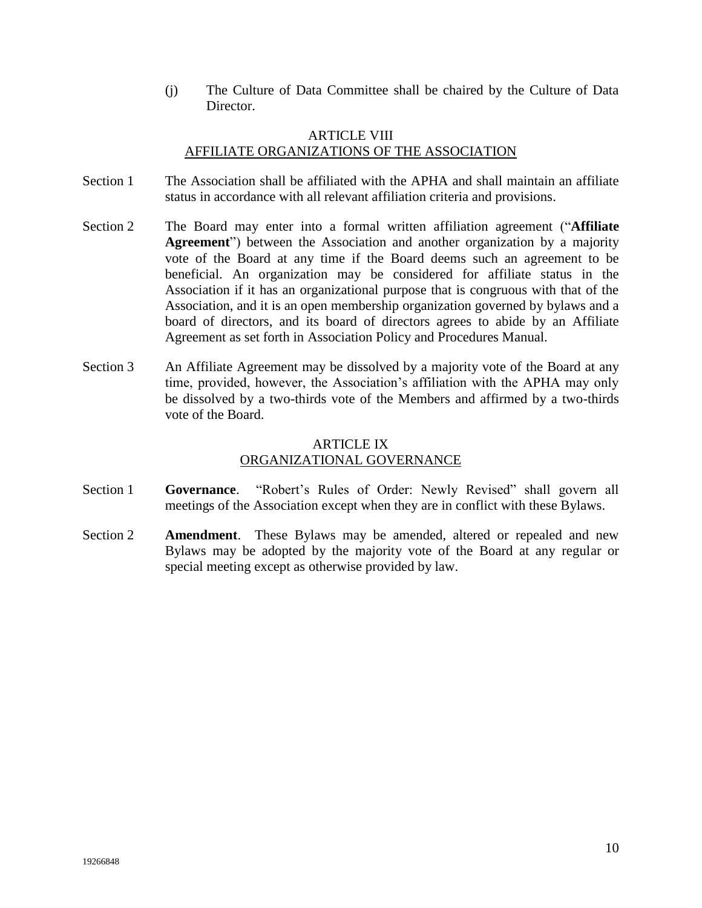(j) The Culture of Data Committee shall be chaired by the Culture of Data Director.

## ARTICLE VIII AFFILIATE ORGANIZATIONS OF THE ASSOCIATION

- Section 1 The Association shall be affiliated with the APHA and shall maintain an affiliate status in accordance with all relevant affiliation criteria and provisions.
- Section 2 The Board may enter into a formal written affiliation agreement ("**Affiliate Agreement**") between the Association and another organization by a majority vote of the Board at any time if the Board deems such an agreement to be beneficial. An organization may be considered for affiliate status in the Association if it has an organizational purpose that is congruous with that of the Association, and it is an open membership organization governed by bylaws and a board of directors, and its board of directors agrees to abide by an Affiliate Agreement as set forth in Association Policy and Procedures Manual.
- Section 3 An Affiliate Agreement may be dissolved by a majority vote of the Board at any time, provided, however, the Association's affiliation with the APHA may only be dissolved by a two-thirds vote of the Members and affirmed by a two-thirds vote of the Board.

# ARTICLE IX ORGANIZATIONAL GOVERNANCE

- Section 1 **Governance**. "Robert's Rules of Order: Newly Revised" shall govern all meetings of the Association except when they are in conflict with these Bylaws.
- Section 2 **Amendment**. These Bylaws may be amended, altered or repealed and new Bylaws may be adopted by the majority vote of the Board at any regular or special meeting except as otherwise provided by law.